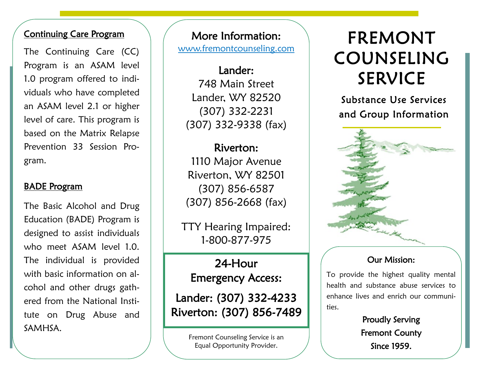#### Continuing Care Program

The Continuing Care (CC) Program is an ASAM level 1.0 program offered to individuals who have completed an ASAM level 2.1 or higher level of care. This program is based on the Matrix Relapse Prevention 33 Session Program.

### BADE Program

The Basic Alcohol and Drug Education (BADE) Program is designed to assist individuals who meet ASAM level 1.0. The individual is provided with basic information on alcohol and other drugs gathered from the National Institute on Drug Abuse and SAMHSA.

More Information: [www.fremontcounseling.com](http://www.fremontcounseling.com)

Lander: 748 Main Street Lander, WY 82520 (307) 332-2231 (307) 332-9338 (fax)

Riverton: 1110 Major Avenue Riverton, WY 82501 (307) 856-6587 (307) 856-2668 (fax)

TTY Hearing Impaired: 1-800-877-975

24-Hour Emergency Access:

Lander: (307) 332-4233 Riverton: (307) 856-7489

> Fremont Counseling Service is an Equal Opportunity Provider.

# FREMONT COUNSELING SERVICE

Substance Use Services and Group Information



#### Our Mission:

To provide the highest quality mental health and substance abuse services to enhance lives and enrich our communities.

> Proudly Serving Fremont County Since 1959.